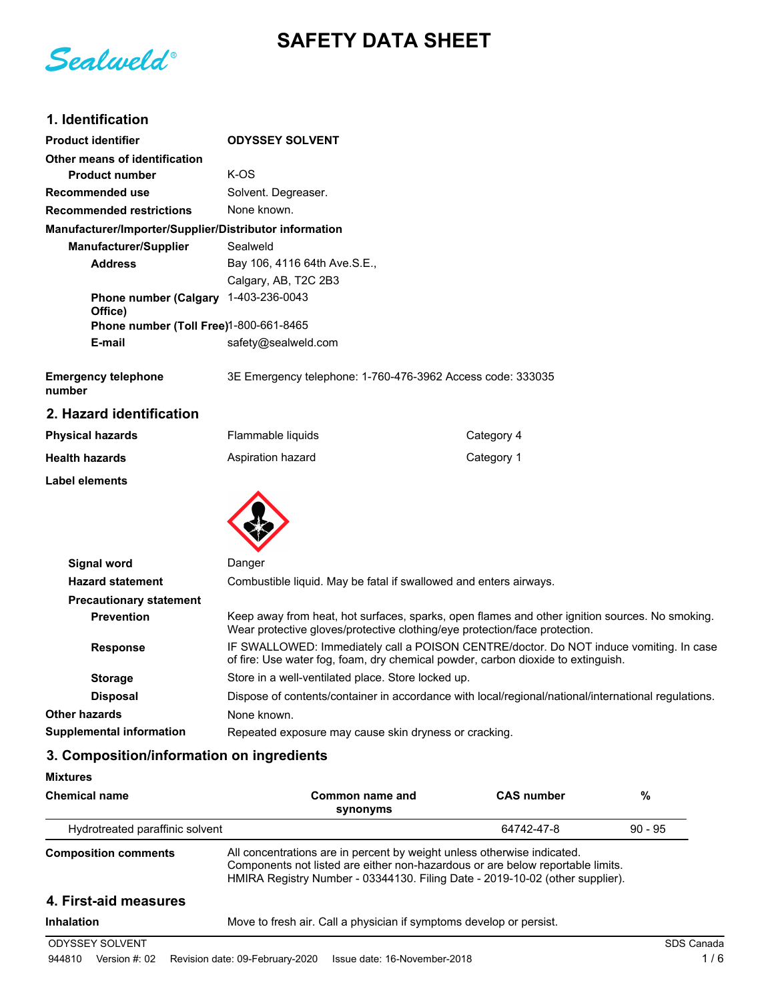# **SAFETY DATA SHEET**

Sealweld®

# **1. Identification**

| <b>Product identifier</b>                              | <b>ODYSSEY SOLVENT</b>                                                                                                                                                       |                                                                                                     |  |
|--------------------------------------------------------|------------------------------------------------------------------------------------------------------------------------------------------------------------------------------|-----------------------------------------------------------------------------------------------------|--|
| Other means of identification                          |                                                                                                                                                                              |                                                                                                     |  |
| <b>Product number</b>                                  | K-OS                                                                                                                                                                         |                                                                                                     |  |
| <b>Recommended use</b>                                 | Solvent. Degreaser.                                                                                                                                                          |                                                                                                     |  |
| <b>Recommended restrictions</b>                        | None known.                                                                                                                                                                  |                                                                                                     |  |
| Manufacturer/Importer/Supplier/Distributor information |                                                                                                                                                                              |                                                                                                     |  |
| <b>Manufacturer/Supplier</b>                           | Sealweld                                                                                                                                                                     |                                                                                                     |  |
| <b>Address</b>                                         | Bay 106, 4116 64th Ave.S.E.,                                                                                                                                                 |                                                                                                     |  |
|                                                        | Calgary, AB, T2C 2B3                                                                                                                                                         |                                                                                                     |  |
| Phone number (Calgary 1-403-236-0043<br>Office)        |                                                                                                                                                                              |                                                                                                     |  |
| Phone number (Toll Free)1-800-661-8465                 |                                                                                                                                                                              |                                                                                                     |  |
| E-mail                                                 | safety@sealweld.com                                                                                                                                                          |                                                                                                     |  |
| <b>Emergency telephone</b><br>number                   | 3E Emergency telephone: 1-760-476-3962 Access code: 333035                                                                                                                   |                                                                                                     |  |
| 2. Hazard identification                               |                                                                                                                                                                              |                                                                                                     |  |
| <b>Physical hazards</b>                                | Flammable liquids                                                                                                                                                            | Category 4                                                                                          |  |
| <b>Health hazards</b>                                  | Aspiration hazard                                                                                                                                                            | Category 1                                                                                          |  |
| <b>Label elements</b>                                  |                                                                                                                                                                              |                                                                                                     |  |
|                                                        |                                                                                                                                                                              |                                                                                                     |  |
| <b>Signal word</b>                                     | Danger                                                                                                                                                                       |                                                                                                     |  |
| <b>Hazard statement</b>                                | Combustible liquid. May be fatal if swallowed and enters airways.                                                                                                            |                                                                                                     |  |
| <b>Precautionary statement</b>                         |                                                                                                                                                                              |                                                                                                     |  |
| <b>Prevention</b>                                      | Keep away from heat, hot surfaces, sparks, open flames and other ignition sources. No smoking.<br>Wear protective gloves/protective clothing/eye protection/face protection. |                                                                                                     |  |
| <b>Response</b>                                        | IF SWALLOWED: Immediately call a POISON CENTRE/doctor. Do NOT induce vomiting. In case<br>of fire: Use water fog, foam, dry chemical powder, carbon dioxide to extinguish.   |                                                                                                     |  |
| <b>Storage</b>                                         | Store in a well-ventilated place. Store locked up.                                                                                                                           |                                                                                                     |  |
| <b>Disposal</b>                                        |                                                                                                                                                                              | Dispose of contents/container in accordance with local/regional/national/international regulations. |  |
| <b>Other hazards</b>                                   | None known.                                                                                                                                                                  |                                                                                                     |  |
| <b>Supplemental information</b>                        | Repeated exposure may cause skin dryness or cracking.                                                                                                                        |                                                                                                     |  |

# **3. Composition/information on ingredients**

#### **Mixtures**

| <b>Chemical name</b>            | Common name and<br>synonyms                                                                                                                                                                                                               | <b>CAS number</b> | %          |
|---------------------------------|-------------------------------------------------------------------------------------------------------------------------------------------------------------------------------------------------------------------------------------------|-------------------|------------|
| Hydrotreated paraffinic solvent |                                                                                                                                                                                                                                           | 64742-47-8        | $90 - 95$  |
| <b>Composition comments</b>     | All concentrations are in percent by weight unless otherwise indicated.<br>Components not listed are either non-hazardous or are below reportable limits.<br>HMIRA Registry Number - 03344130. Filing Date - 2019-10-02 (other supplier). |                   |            |
| 4. First-aid measures           |                                                                                                                                                                                                                                           |                   |            |
| <b>Inhalation</b>               | Move to fresh air. Call a physician if symptoms develop or persist.                                                                                                                                                                       |                   |            |
| <b>ODYSSEY SOLVENT</b>          |                                                                                                                                                                                                                                           |                   | SDS Canada |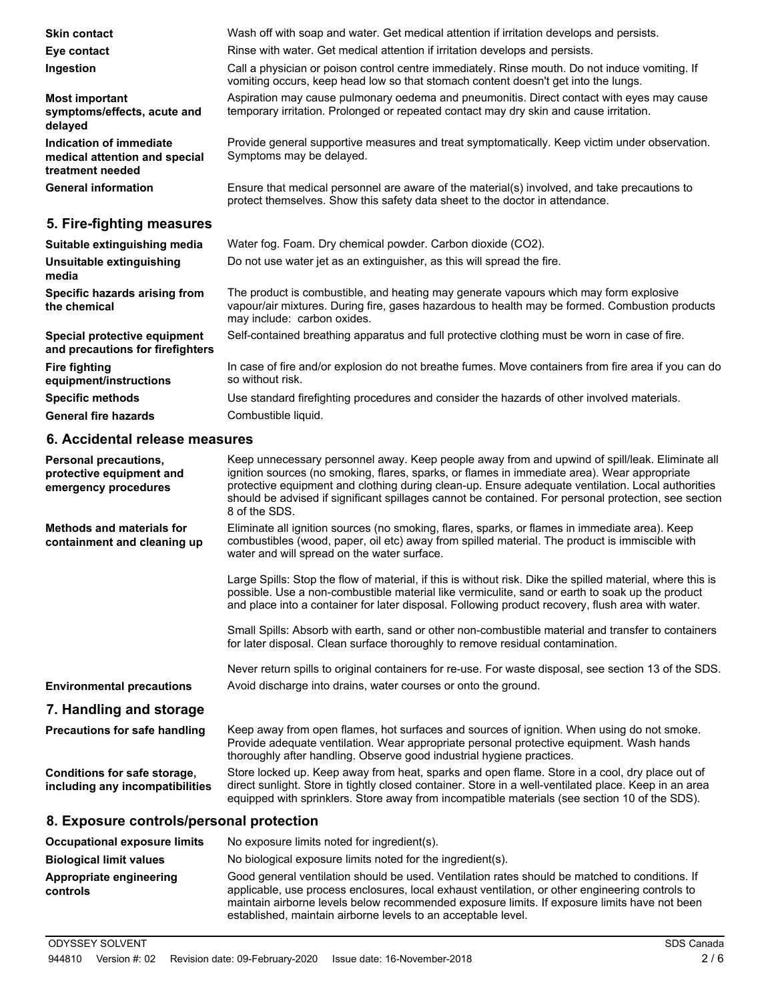| <b>Skin contact</b>                                                          | Wash off with soap and water. Get medical attention if irritation develops and persists.                                                                                                                                                                                                                                                                                                                                     |
|------------------------------------------------------------------------------|------------------------------------------------------------------------------------------------------------------------------------------------------------------------------------------------------------------------------------------------------------------------------------------------------------------------------------------------------------------------------------------------------------------------------|
| Eye contact                                                                  | Rinse with water. Get medical attention if irritation develops and persists.                                                                                                                                                                                                                                                                                                                                                 |
| Ingestion                                                                    | Call a physician or poison control centre immediately. Rinse mouth. Do not induce vomiting. If<br>vomiting occurs, keep head low so that stomach content doesn't get into the lungs.                                                                                                                                                                                                                                         |
| <b>Most important</b><br>symptoms/effects, acute and<br>delayed              | Aspiration may cause pulmonary oedema and pneumonitis. Direct contact with eyes may cause<br>temporary irritation. Prolonged or repeated contact may dry skin and cause irritation.                                                                                                                                                                                                                                          |
| Indication of immediate<br>medical attention and special<br>treatment needed | Provide general supportive measures and treat symptomatically. Keep victim under observation.<br>Symptoms may be delayed.                                                                                                                                                                                                                                                                                                    |
| <b>General information</b>                                                   | Ensure that medical personnel are aware of the material(s) involved, and take precautions to<br>protect themselves. Show this safety data sheet to the doctor in attendance.                                                                                                                                                                                                                                                 |
| 5. Fire-fighting measures                                                    |                                                                                                                                                                                                                                                                                                                                                                                                                              |
| Suitable extinguishing media                                                 | Water fog. Foam. Dry chemical powder. Carbon dioxide (CO2).                                                                                                                                                                                                                                                                                                                                                                  |
| Unsuitable extinguishing<br>media                                            | Do not use water jet as an extinguisher, as this will spread the fire.                                                                                                                                                                                                                                                                                                                                                       |
| Specific hazards arising from<br>the chemical                                | The product is combustible, and heating may generate vapours which may form explosive<br>vapour/air mixtures. During fire, gases hazardous to health may be formed. Combustion products<br>may include: carbon oxides.                                                                                                                                                                                                       |
| Special protective equipment<br>and precautions for firefighters             | Self-contained breathing apparatus and full protective clothing must be worn in case of fire.                                                                                                                                                                                                                                                                                                                                |
| <b>Fire fighting</b><br>equipment/instructions                               | In case of fire and/or explosion do not breathe fumes. Move containers from fire area if you can do<br>so without risk.                                                                                                                                                                                                                                                                                                      |
| <b>Specific methods</b>                                                      | Use standard firefighting procedures and consider the hazards of other involved materials.                                                                                                                                                                                                                                                                                                                                   |
| <b>General fire hazards</b>                                                  | Combustible liquid.                                                                                                                                                                                                                                                                                                                                                                                                          |
| 6. Accidental release measures                                               |                                                                                                                                                                                                                                                                                                                                                                                                                              |
| Personal precautions,<br>protective equipment and<br>emergency procedures    | Keep unnecessary personnel away. Keep people away from and upwind of spill/leak. Eliminate all<br>ignition sources (no smoking, flares, sparks, or flames in immediate area). Wear appropriate<br>protective equipment and clothing during clean-up. Ensure adequate ventilation. Local authorities<br>should be advised if significant spillages cannot be contained. For personal protection, see section<br>8 of the SDS. |
| <b>Methods and materials for</b><br>containment and cleaning up              | Eliminate all ignition sources (no smoking, flares, sparks, or flames in immediate area). Keep<br>combustibles (wood, paper, oil etc) away from spilled material. The product is immiscible with<br>water and will spread on the water surface.                                                                                                                                                                              |
|                                                                              | Large Spills: Stop the flow of material, if this is without risk. Dike the spilled material, where this is<br>possible. Use a non-combustible material like vermiculite, sand or earth to soak up the product<br>and place into a container for later disposal. Following product recovery, flush area with water.                                                                                                           |
|                                                                              | Small Spills: Absorb with earth, sand or other non-combustible material and transfer to containers<br>for later disposal. Clean surface thoroughly to remove residual contamination.                                                                                                                                                                                                                                         |
|                                                                              | Never return spills to original containers for re-use. For waste disposal, see section 13 of the SDS.                                                                                                                                                                                                                                                                                                                        |
| <b>Environmental precautions</b>                                             | Avoid discharge into drains, water courses or onto the ground.                                                                                                                                                                                                                                                                                                                                                               |
| 7. Handling and storage                                                      |                                                                                                                                                                                                                                                                                                                                                                                                                              |
| <b>Precautions for safe handling</b>                                         | Keep away from open flames, hot surfaces and sources of ignition. When using do not smoke.<br>Provide adequate ventilation. Wear appropriate personal protective equipment. Wash hands<br>thoroughly after handling. Observe good industrial hygiene practices.                                                                                                                                                              |
| Conditions for safe storage,<br>including any incompatibilities              | Store locked up. Keep away from heat, sparks and open flame. Store in a cool, dry place out of<br>direct sunlight. Store in tightly closed container. Store in a well-ventilated place. Keep in an area<br>equipped with sprinklers. Store away from incompatible materials (see section 10 of the SDS).                                                                                                                     |
| 8. Exposure controls/personal protection                                     |                                                                                                                                                                                                                                                                                                                                                                                                                              |
| <b>Occupational exposure limits</b>                                          | No exposure limits noted for ingredient(s).                                                                                                                                                                                                                                                                                                                                                                                  |
| <b>Biological limit values</b>                                               | No biological exposure limits noted for the ingredient(s).                                                                                                                                                                                                                                                                                                                                                                   |
| Appropriate engineering<br>controls                                          | Good general ventilation should be used. Ventilation rates should be matched to conditions. If<br>applicable, use process enclosures, local exhaust ventilation, or other engineering controls to<br>maintain airborne levels below recommended exposure limits. If exposure limits have not been                                                                                                                            |

established, maintain airborne levels to an acceptable level.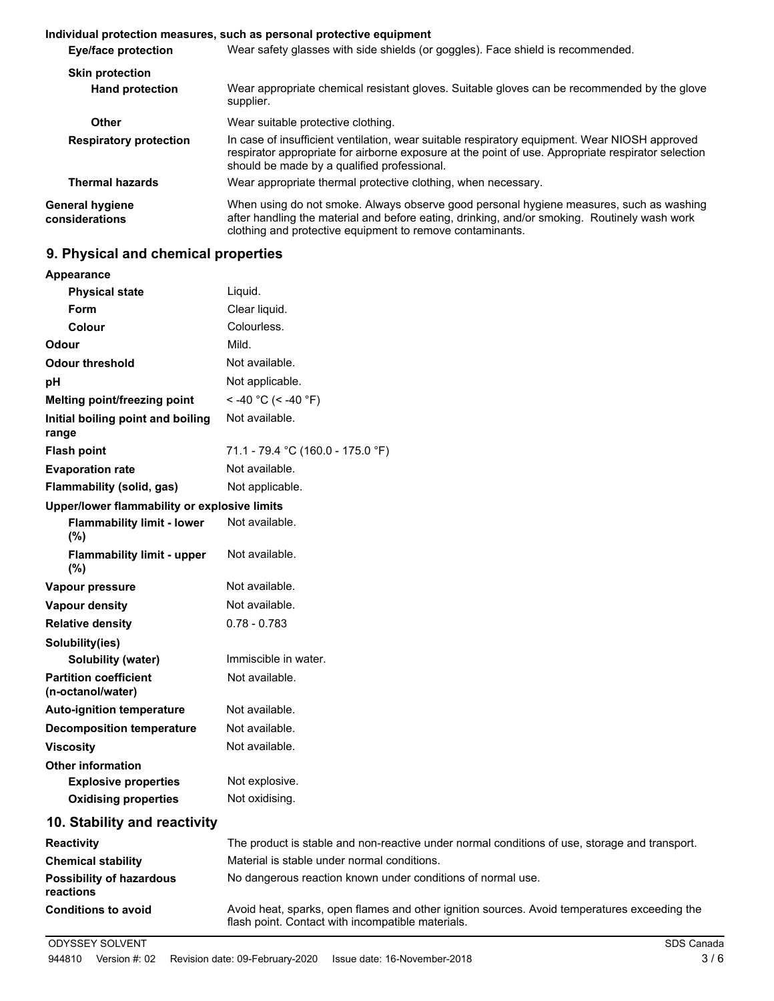|                                          | Individual protection measures, such as personal protective equipment                                                                                                                                                                                |
|------------------------------------------|------------------------------------------------------------------------------------------------------------------------------------------------------------------------------------------------------------------------------------------------------|
| Eye/face protection                      | Wear safety glasses with side shields (or goggles). Face shield is recommended.                                                                                                                                                                      |
| <b>Skin protection</b>                   |                                                                                                                                                                                                                                                      |
| <b>Hand protection</b>                   | Wear appropriate chemical resistant gloves. Suitable gloves can be recommended by the glove<br>supplier.                                                                                                                                             |
| Other                                    | Wear suitable protective clothing.                                                                                                                                                                                                                   |
| <b>Respiratory protection</b>            | In case of insufficient ventilation, wear suitable respiratory equipment. Wear NIOSH approved<br>respirator appropriate for airborne exposure at the point of use. Appropriate respirator selection<br>should be made by a qualified professional.   |
| <b>Thermal hazards</b>                   | Wear appropriate thermal protective clothing, when necessary.                                                                                                                                                                                        |
| <b>General hygiene</b><br>considerations | When using do not smoke. Always observe good personal hygiene measures, such as washing<br>after handling the material and before eating, drinking, and/or smoking. Routinely wash work<br>clothing and protective equipment to remove contaminants. |

# **9. Physical and chemical properties**

| <b>Appearance</b>                                 |                                                                                                                                                   |
|---------------------------------------------------|---------------------------------------------------------------------------------------------------------------------------------------------------|
| <b>Physical state</b>                             | Liquid.                                                                                                                                           |
| Form                                              | Clear liquid.                                                                                                                                     |
| Colour                                            | Colourless.                                                                                                                                       |
| Odour                                             | Mild.                                                                                                                                             |
| <b>Odour threshold</b>                            | Not available.                                                                                                                                    |
| рH                                                | Not applicable.                                                                                                                                   |
| Melting point/freezing point                      | < -40 °C (< -40 °F)                                                                                                                               |
| Initial boiling point and boiling<br>range        | Not available.                                                                                                                                    |
| <b>Flash point</b>                                | 71.1 - 79.4 °C (160.0 - 175.0 °F)                                                                                                                 |
| <b>Evaporation rate</b>                           | Not available.                                                                                                                                    |
| Flammability (solid, gas)                         | Not applicable.                                                                                                                                   |
| Upper/lower flammability or explosive limits      |                                                                                                                                                   |
| <b>Flammability limit - lower</b><br>$(\%)$       | Not available.                                                                                                                                    |
| <b>Flammability limit - upper</b><br>(%)          | Not available.                                                                                                                                    |
| Vapour pressure                                   | Not available.                                                                                                                                    |
| Vapour density                                    | Not available.                                                                                                                                    |
| <b>Relative density</b>                           | $0.78 - 0.783$                                                                                                                                    |
| Solubility(ies)                                   |                                                                                                                                                   |
| Solubility (water)                                | Immiscible in water.                                                                                                                              |
| <b>Partition coefficient</b><br>(n-octanol/water) | Not available.                                                                                                                                    |
| <b>Auto-ignition temperature</b>                  | Not available.                                                                                                                                    |
| <b>Decomposition temperature</b>                  | Not available.                                                                                                                                    |
| <b>Viscosity</b>                                  | Not available.                                                                                                                                    |
| <b>Other information</b>                          |                                                                                                                                                   |
| <b>Explosive properties</b>                       | Not explosive.                                                                                                                                    |
| <b>Oxidising properties</b>                       | Not oxidising.                                                                                                                                    |
| 10. Stability and reactivity                      |                                                                                                                                                   |
| <b>Reactivity</b>                                 | The product is stable and non-reactive under normal conditions of use, storage and transport.                                                     |
| <b>Chemical stability</b>                         | Material is stable under normal conditions.                                                                                                       |
| <b>Possibility of hazardous</b><br>reactions      | No dangerous reaction known under conditions of normal use.                                                                                       |
| <b>Conditions to avoid</b>                        | Avoid heat, sparks, open flames and other ignition sources. Avoid temperatures exceeding the<br>flash point. Contact with incompatible materials. |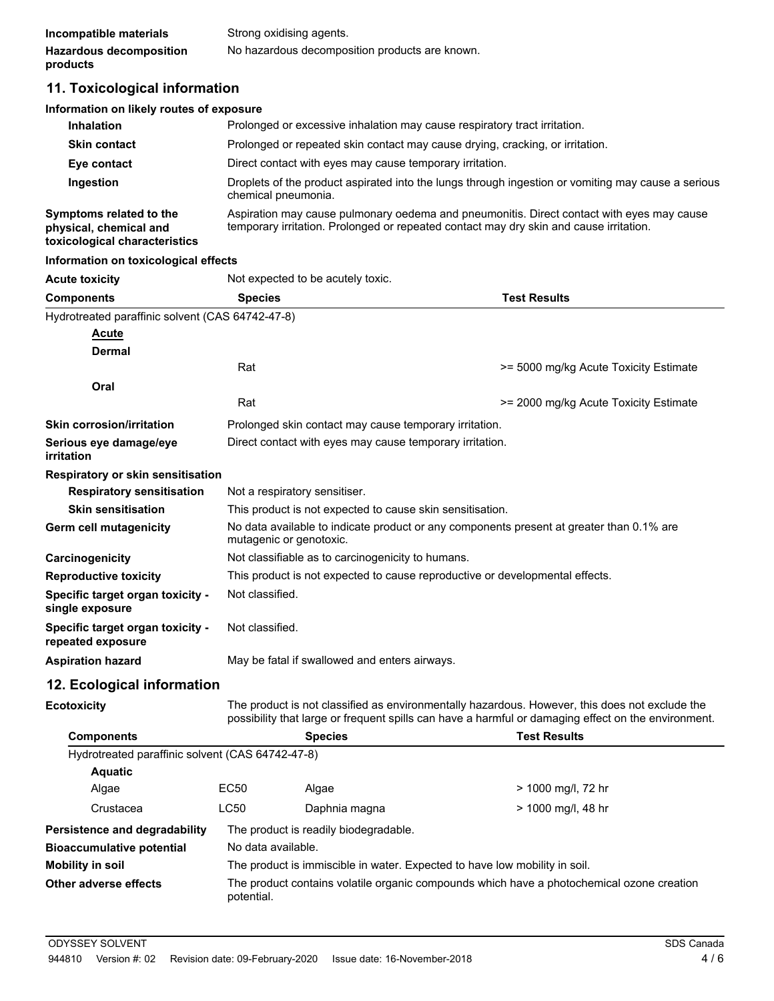# **11. Toxicological information**

#### **Information on likely routes of exposure**

| <b>Inhalation</b>                                 | Prolonged or excessive inhalation may cause respiratory tract irritation.                                                                                                           |
|---------------------------------------------------|-------------------------------------------------------------------------------------------------------------------------------------------------------------------------------------|
| <b>Skin contact</b>                               | Prolonged or repeated skin contact may cause drying, cracking, or irritation.                                                                                                       |
| Eye contact                                       | Direct contact with eyes may cause temporary irritation.                                                                                                                            |
| Ingestion                                         | Droplets of the product aspirated into the lungs through ingestion or vomiting may cause a serious<br>chemical pneumonia.                                                           |
| Symptoms related to the<br>physical, chemical and | Aspiration may cause pulmonary oedema and pneumonitis. Direct contact with eyes may cause<br>temporary irritation. Prolonged or repeated contact may dry skin and cause irritation. |

**toxicological characteristics**

#### **Information on toxicological effects**

| <b>Acute toxicity</b>                                 | Not expected to be acutely toxic.                                                                                   |                                       |
|-------------------------------------------------------|---------------------------------------------------------------------------------------------------------------------|---------------------------------------|
| <b>Components</b>                                     | <b>Species</b>                                                                                                      | <b>Test Results</b>                   |
| Hydrotreated paraffinic solvent (CAS 64742-47-8)      |                                                                                                                     |                                       |
| <b>Acute</b>                                          |                                                                                                                     |                                       |
| <b>Dermal</b>                                         |                                                                                                                     |                                       |
|                                                       | Rat                                                                                                                 | >= 5000 mg/kg Acute Toxicity Estimate |
| Oral                                                  |                                                                                                                     |                                       |
|                                                       | Rat                                                                                                                 | >= 2000 mg/kg Acute Toxicity Estimate |
| <b>Skin corrosion/irritation</b>                      | Prolonged skin contact may cause temporary irritation.                                                              |                                       |
| Serious eye damage/eye<br>irritation                  | Direct contact with eyes may cause temporary irritation.                                                            |                                       |
| Respiratory or skin sensitisation                     |                                                                                                                     |                                       |
| <b>Respiratory sensitisation</b>                      | Not a respiratory sensitiser.                                                                                       |                                       |
| <b>Skin sensitisation</b>                             | This product is not expected to cause skin sensitisation.                                                           |                                       |
| Germ cell mutagenicity                                | No data available to indicate product or any components present at greater than 0.1% are<br>mutagenic or genotoxic. |                                       |
| Carcinogenicity                                       | Not classifiable as to carcinogenicity to humans.                                                                   |                                       |
| <b>Reproductive toxicity</b>                          | This product is not expected to cause reproductive or developmental effects.                                        |                                       |
| Specific target organ toxicity -<br>single exposure   | Not classified.                                                                                                     |                                       |
| Specific target organ toxicity -<br>repeated exposure | Not classified.                                                                                                     |                                       |
| <b>Aspiration hazard</b>                              | May be fatal if swallowed and enters airways.                                                                       |                                       |
| .                                                     |                                                                                                                     |                                       |

### **12. Ecological information**

**Ecotoxicity**

The product is not classified as environmentally hazardous. However, this does not exclude the possibility that large or frequent spills can have a harmful or damaging effect on the environment.

| <b>Components</b>                                |                    | <b>Species</b>                                                             | <b>Test Results</b>                                                                       |
|--------------------------------------------------|--------------------|----------------------------------------------------------------------------|-------------------------------------------------------------------------------------------|
| Hydrotreated paraffinic solvent (CAS 64742-47-8) |                    |                                                                            |                                                                                           |
| <b>Aquatic</b>                                   |                    |                                                                            |                                                                                           |
| Algae                                            | EC50               | Algae                                                                      | > 1000 mg/l, 72 hr                                                                        |
| Crustacea                                        | <b>LC50</b>        | Daphnia magna                                                              | > 1000 mg/l, 48 hr                                                                        |
| <b>Persistence and degradability</b>             |                    | The product is readily biodegradable.                                      |                                                                                           |
| <b>Bioaccumulative potential</b>                 | No data available. |                                                                            |                                                                                           |
| <b>Mobility in soil</b>                          |                    | The product is immiscible in water. Expected to have low mobility in soil. |                                                                                           |
| Other adverse effects                            | potential.         |                                                                            | The product contains volatile organic compounds which have a photochemical ozone creation |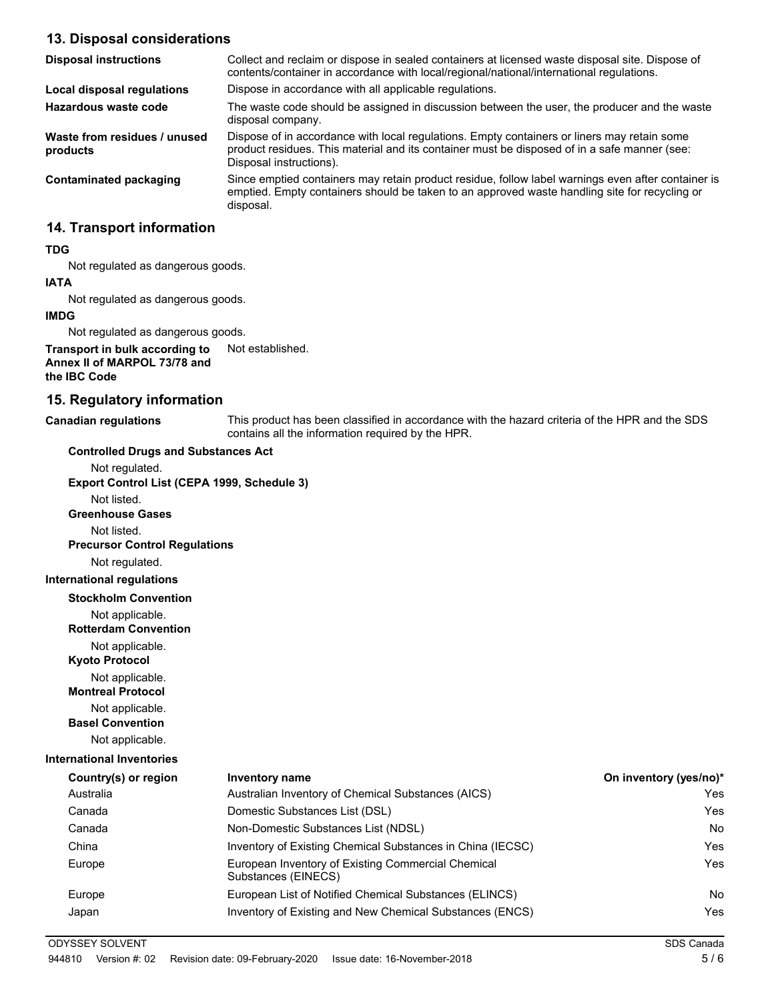# **13. Disposal considerations**

| <b>Disposal instructions</b>             | Collect and reclaim or dispose in sealed containers at licensed waste disposal site. Dispose of<br>contents/container in accordance with local/regional/national/international regulations.                            |
|------------------------------------------|------------------------------------------------------------------------------------------------------------------------------------------------------------------------------------------------------------------------|
| Local disposal regulations               | Dispose in accordance with all applicable regulations.                                                                                                                                                                 |
| Hazardous waste code                     | The waste code should be assigned in discussion between the user, the producer and the waste<br>disposal company.                                                                                                      |
| Waste from residues / unused<br>products | Dispose of in accordance with local regulations. Empty containers or liners may retain some<br>product residues. This material and its container must be disposed of in a safe manner (see:<br>Disposal instructions). |
| Contaminated packaging                   | Since emptied containers may retain product residue, follow label warnings even after container is<br>emptied. Empty containers should be taken to an approved waste handling site for recycling or<br>disposal.       |

## **14. Transport information**

#### **TDG**

Not regulated as dangerous goods.

# **IATA**

Not regulated as dangerous goods.

#### **IMDG**

Not regulated as dangerous goods.

**Transport in bulk according to** Not established. **Annex II of MARPOL 73/78 and the IBC Code**

**Controlled Drugs and Substances Act**

### **15. Regulatory information**

**Canadian regulations**

This product has been classified in accordance with the hazard criteria of the HPR and the SDS contains all the information required by the HPR.

| Not regulated.                                 |                                                                           |                        |
|------------------------------------------------|---------------------------------------------------------------------------|------------------------|
| Export Control List (CEPA 1999, Schedule 3)    |                                                                           |                        |
| Not listed.                                    |                                                                           |                        |
| <b>Greenhouse Gases</b>                        |                                                                           |                        |
| Not listed.                                    |                                                                           |                        |
| <b>Precursor Control Regulations</b>           |                                                                           |                        |
| Not regulated.                                 |                                                                           |                        |
| <b>International regulations</b>               |                                                                           |                        |
| <b>Stockholm Convention</b>                    |                                                                           |                        |
| Not applicable.<br><b>Rotterdam Convention</b> |                                                                           |                        |
| Not applicable.<br><b>Kyoto Protocol</b>       |                                                                           |                        |
| Not applicable.<br><b>Montreal Protocol</b>    |                                                                           |                        |
| Not applicable.<br><b>Basel Convention</b>     |                                                                           |                        |
| Not applicable.                                |                                                                           |                        |
| <b>International Inventories</b>               |                                                                           |                        |
| Country(s) or region                           | <b>Inventory name</b>                                                     | On inventory (yes/no)* |
| Australia                                      | Australian Inventory of Chemical Substances (AICS)                        | <b>Yes</b>             |
| Canada                                         | Domestic Substances List (DSL)                                            | Yes                    |
| Canada                                         | Non-Domestic Substances List (NDSL)                                       | <b>No</b>              |
| China                                          | Inventory of Existing Chemical Substances in China (IECSC)                | <b>Yes</b>             |
| Europe                                         | European Inventory of Existing Commercial Chemical<br>Substances (EINECS) | <b>Yes</b>             |
| Europe                                         | European List of Notified Chemical Substances (ELINCS)                    | No.                    |
| Japan                                          | Inventory of Existing and New Chemical Substances (ENCS)                  | <b>Yes</b>             |
| <b>ODYSSEY SOLVENT</b>                         |                                                                           | SDS Canada             |